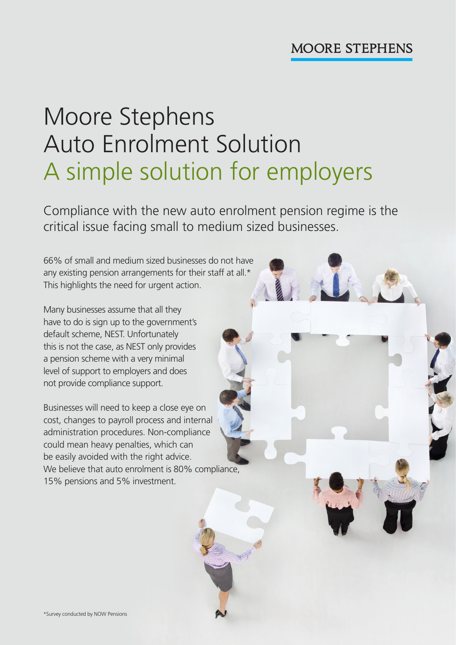# Moore Stephens Auto Enrolment Solution A simple solution for employers

Compliance with the new auto enrolment pension regime is the critical issue facing small to medium sized businesses.

66% of small and medium sized businesses do not have any existing pension arrangements for their staff at all.\* This highlights the need for urgent action.

Many businesses assume that all they have to do is sign up to the government's default scheme, NEST. Unfortunately this is not the case, as NEST only provides a pension scheme with a very minimal level of support to employers and does not provide compliance support.

Businesses will need to keep a close eye on cost, changes to payroll process and internal administration procedures. Non-compliance could mean heavy penalties, which can be easily avoided with the right advice. We believe that auto enrolment is 80% compliance, 15% pensions and 5% investment.

\*Survey conducted by NOW Pensions